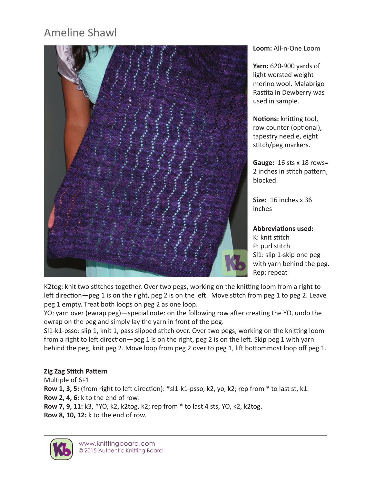# Ameline Shawl



**Loom:** All-n-One Loom

**Yarn:** 620-900 yards of light worsted weight merino wool. Malabrigo Rastita in Dewberry was used in sample.

**Notions:** knitting tool, row counter (optional), tapestry needle, eight stitch/peg markers.

**Gauge:** 16 sts x 18 rows= 2 inches in stitch pattern, blocked.

**Size:** 16 inches x 36 inches

**Abbreviations used:** K: knit stitch P: purl stitch Sl1: slip 1-skip one peg with yarn behind the peg. Rep: repeat

K2tog: knit two stitches together. Over two pegs, working on the knitting loom from a right to left direction—peg 1 is on the right, peg 2 is on the left. Move stitch from peg 1 to peg 2. Leave peg 1 empty. Treat both loops on peg 2 as one loop.

YO: yarn over (ewrap peg)—special note: on the following row after creating the YO, undo the ewrap on the peg and simply lay the yarn in front of the peg.

Sl1-k1-psso: slip 1, knit 1, pass slipped stitch over. Over two pegs, working on the knitting loom from a right to left direction—peg 1 is on the right, peg 2 is on the left. Skip peg 1 with yarn behind the peg, knit peg 2. Move loop from peg 2 over to peg 1, lift bottommost loop off peg 1.

#### **Zig Zag Stitch Pattern**

Multiple of 6+1 **Row 1, 3, 5:** (from right to left direction): \*sl1-k1-psso, k2, yo, k2; rep from \* to last st, k1. **Row 2, 4, 6:** k to the end of row. **Row 7, 9, 11:** k3, \*YO, k2, k2tog, k2; rep from \* to last 4 sts, YO, k2, k2tog. **Row 8, 10, 12:** k to the end of row.